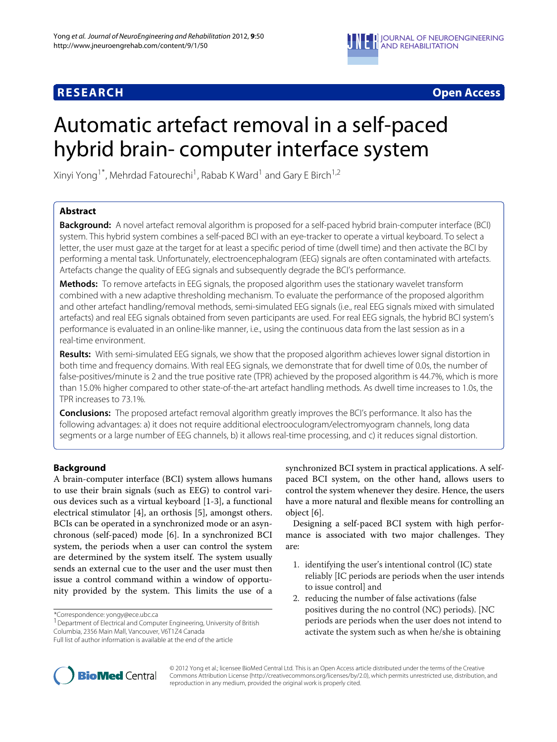**RESEARCH Open Access**

# Automatic artefact removal in a self-paced hybrid brain- computer interface system

Xinyi Yong<sup>1\*</sup>, Mehrdad Fatourechi<sup>1</sup>, Rabab K Ward<sup>1</sup> and Gary E Birch<sup>1,2</sup>

# **Abstract**

**Background:** A novel artefact removal algorithm is proposed for a self-paced hybrid brain-computer interface (BCI) system. This hybrid system combines a self-paced BCI with an eye-tracker to operate a virtual keyboard. To select a letter, the user must gaze at the target for at least a specific period of time (dwell time) and then activate the BCI by performing a mental task. Unfortunately, electroencephalogram (EEG) signals are often contaminated with artefacts. Artefacts change the quality of EEG signals and subsequently degrade the BCI's performance.

**Methods:** To remove artefacts in EEG signals, the proposed algorithm uses the stationary wavelet transform combined with a new adaptive thresholding mechanism. To evaluate the performance of the proposed algorithm and other artefact handling/removal methods, semi-simulated EEG signals (i.e., real EEG signals mixed with simulated artefacts) and real EEG signals obtained from seven participants are used. For real EEG signals, the hybrid BCI system's performance is evaluated in an online-like manner, i.e., using the continuous data from the last session as in a real-time environment.

**Results:** With semi-simulated EEG signals, we show that the proposed algorithm achieves lower signal distortion in both time and frequency domains. With real EEG signals, we demonstrate that for dwell time of 0.0s, the number of false-positives/minute is 2 and the true positive rate (TPR) achieved by the proposed algorithm is 44.7%, which is more than 15.0% higher compared to other state-of-the-art artefact handling methods. As dwell time increases to 1.0s, the TPR increases to 73.1%.

**Conclusions:** The proposed artefact removal algorithm greatly improves the BCI's performance. It also has the following advantages: a) it does not require additional electrooculogram/electromyogram channels, long data segments or a large number of EEG channels, b) it allows real-time processing, and c) it reduces signal distortion.

# **Background**

A brain-computer interface (BCI) system allows humans to use their brain signals (such as EEG) to control various devices such as a virtual keyboard [\[1-3\]](#page-18-0), a functional electrical stimulator [\[4\]](#page-18-0), an orthosis [\[5\]](#page-18-0), amongst others. BCIs can be operated in a synchronized mode or an asynchronous (self-paced) mode [\[6\]](#page-18-0). In a synchronized BCI system, the periods when a user can control the system are determined by the system itself. The system usually sends an external cue to the user and the user must then issue a control command within a window of opportunity provided by the system. This limits the use of a synchronized BCI system in practical applications. A selfpaced BCI system, on the other hand, allows users to control the system whenever they desire. Hence, the users have a more natural and flexible means for controlling an object [\[6\]](#page-18-0).

Designing a self-paced BCI system with high performance is associated with two major challenges. They are:

- 1. identifying the user's intentional control (IC) state reliably [IC periods are periods when the user intends to issue control] and
- 2. reducing the number of false activations (false positives during the no control (NC) periods). [NC periods are periods when the user does not intend to activate the system such as when he/she is obtaining



© 2012 Yong et al.; licensee BioMed Central Ltd. This is an Open Access article distributed under the terms of the Creative Commons Attribution License (http://creativecommons.org/licenses/by/2.0), which permits unrestricted use, distribution, and reproduction in any medium, provided the original work is properly cited.

<sup>\*</sup>Correspondence: yongy@ece.ubc.ca

<sup>&</sup>lt;sup>1</sup> Department of Electrical and Computer Engineering, University of British Columbia, 2356 Main Mall, Vancouver, V6T1Z4 Canada

Full list of author information is available at the end of the article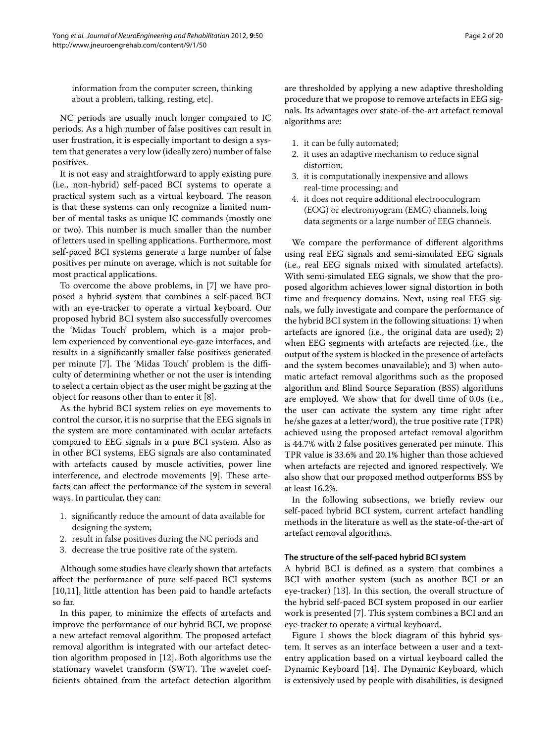information from the computer screen, thinking about a problem, talking, resting, etc].

NC periods are usually much longer compared to IC periods. As a high number of false positives can result in user frustration, it is especially important to design a system that generates a very low (ideally zero) number of false positives.

It is not easy and straightforward to apply existing pure (i.e., non-hybrid) self-paced BCI systems to operate a practical system such as a virtual keyboard. The reason is that these systems can only recognize a limited number of mental tasks as unique IC commands (mostly one or two). This number is much smaller than the number of letters used in spelling applications. Furthermore, most self-paced BCI systems generate a large number of false positives per minute on average, which is not suitable for most practical applications.

To overcome the above problems, in [\[7\]](#page-18-0) we have proposed a hybrid system that combines a self-paced BCI with an eye-tracker to operate a virtual keyboard. Our proposed hybrid BCI system also successfully overcomes the 'Midas Touch' problem, which is a major problem experienced by conventional eye-gaze interfaces, and results in a significantly smaller false positives generated per minute [\[7\]](#page-18-0). The 'Midas Touch' problem is the difficulty of determining whether or not the user is intending to select a certain object as the user might be gazing at the object for reasons other than to enter it [\[8\]](#page-18-0).

As the hybrid BCI system relies on eye movements to control the cursor, it is no surprise that the EEG signals in the system are more contaminated with ocular artefacts compared to EEG signals in a pure BCI system. Also as in other BCI systems, EEG signals are also contaminated with artefacts caused by muscle activities, power line interference, and electrode movements [\[9\]](#page-18-0). These artefacts can affect the performance of the system in several ways. In particular, they can:

- 1. significantly reduce the amount of data available for designing the system;
- 2. result in false positives during the NC periods and
- 3. decrease the true positive rate of the system.

Although some studies have clearly shown that artefacts affect the performance of pure self-paced BCI systems [\[10,11\]](#page-18-0), little attention has been paid to handle artefacts so far.

In this paper, to minimize the effects of artefacts and improve the performance of our hybrid BCI, we propose a new artefact removal algorithm. The proposed artefact removal algorithm is integrated with our artefact detection algorithm proposed in [\[12\]](#page-18-0). Both algorithms use the stationary wavelet transform (SWT). The wavelet coefficients obtained from the artefact detection algorithm

are thresholded by applying a new adaptive thresholding procedure that we propose to remove artefacts in EEG signals. Its advantages over state-of-the-art artefact removal algorithms are:

- 1. it can be fully automated;
- 2. it uses an adaptive mechanism to reduce signal distortion;
- 3. it is computationally inexpensive and allows real-time processing; and
- 4. it does not require additional electrooculogram (EOG) or electromyogram (EMG) channels, long data segments or a large number of EEG channels.

We compare the performance of different algorithms using real EEG signals and semi-simulated EEG signals (i.e., real EEG signals mixed with simulated artefacts). With semi-simulated EEG signals, we show that the proposed algorithm achieves lower signal distortion in both time and frequency domains. Next, using real EEG signals, we fully investigate and compare the performance of the hybrid BCI system in the following situations: 1) when artefacts are ignored (i.e., the original data are used); 2) when EEG segments with artefacts are rejected (i.e., the output of the system is blocked in the presence of artefacts and the system becomes unavailable); and 3) when automatic artefact removal algorithms such as the proposed algorithm and Blind Source Separation (BSS) algorithms are employed. We show that for dwell time of 0.0s (i.e., the user can activate the system any time right after he/she gazes at a letter/word), the true positive rate (TPR) achieved using the proposed artefact removal algorithm is 44.7% with 2 false positives generated per minute. This TPR value is 33.6% and 20.1% higher than those achieved when artefacts are rejected and ignored respectively. We also show that our proposed method outperforms BSS by at least 16.2%.

In the following subsections, we briefly review our self-paced hybrid BCI system, current artefact handling methods in the literature as well as the state-of-the-art of artefact removal algorithms.

# **The structure of the self-paced hybrid BCI system**

A hybrid BCI is defined as a system that combines a BCI with another system (such as another BCI or an eye-tracker) [\[13\]](#page-18-0). In this section, the overall structure of the hybrid self-paced BCI system proposed in our earlier work is presented [\[7\]](#page-18-0). This system combines a BCI and an eye-tracker to operate a virtual keyboard.

Figure [1](#page-2-0) shows the block diagram of this hybrid system. It serves as an interface between a user and a textentry application based on a virtual keyboard called the Dynamic Keyboard [\[14\]](#page-18-0). The Dynamic Keyboard, which is extensively used by people with disabilities, is designed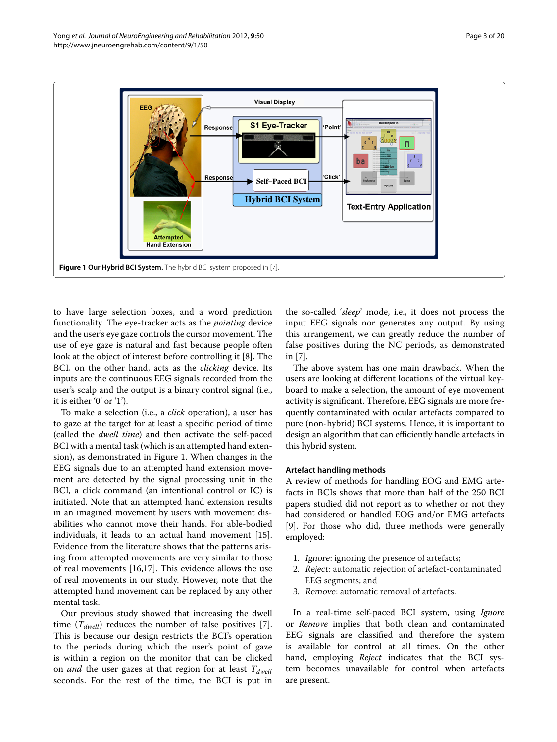<span id="page-2-0"></span>

to have large selection boxes, and a word prediction functionality. The eye-tracker acts as the *pointing* device and the user's eye gaze controls the cursor movement. The use of eye gaze is natural and fast because people often look at the object of interest before controlling it [\[8\]](#page-18-0). The BCI, on the other hand, acts as the *clicking* device. Its inputs are the continuous EEG signals recorded from the user's scalp and the output is a binary control signal (i.e., it is either '0' or '1').

To make a selection (i.e., a *click* operation), a user has to gaze at the target for at least a specific period of time (called the *dwell time*) and then activate the self-paced BCI with a mental task (which is an attempted hand extension), as demonstrated in Figure 1. When changes in the EEG signals due to an attempted hand extension movement are detected by the signal processing unit in the BCI, a click command (an intentional control or IC) is initiated. Note that an attempted hand extension results in an imagined movement by users with movement disabilities who cannot move their hands. For able-bodied individuals, it leads to an actual hand movement [\[15\]](#page-18-0). Evidence from the literature shows that the patterns arising from attempted movements are very similar to those of real movements [\[16,17\]](#page-18-0). This evidence allows the use of real movements in our study. However, note that the attempted hand movement can be replaced by any other mental task.

Our previous study showed that increasing the dwell time  $(T_{dwell})$  reduces the number of false positives [\[7\]](#page-18-0). This is because our design restricts the BCI's operation to the periods during which the user's point of gaze is within a region on the monitor that can be clicked on *and* the user gazes at that region for at least  $T_{dwell}$ seconds. For the rest of the time, the BCI is put in

the so-called '*sleep*' mode, i.e., it does not process the input EEG signals nor generates any output. By using this arrangement, we can greatly reduce the number of false positives during the NC periods, as demonstrated in [\[7\]](#page-18-0).

The above system has one main drawback. When the users are looking at different locations of the virtual keyboard to make a selection, the amount of eye movement activity is significant. Therefore, EEG signals are more frequently contaminated with ocular artefacts compared to pure (non-hybrid) BCI systems. Hence, it is important to design an algorithm that can efficiently handle artefacts in this hybrid system.

# **Artefact handling methods**

A review of methods for handling EOG and EMG artefacts in BCIs shows that more than half of the 250 BCI papers studied did not report as to whether or not they had considered or handled EOG and/or EMG artefacts [\[9\]](#page-18-0). For those who did, three methods were generally employed:

- 1. Ignore: ignoring the presence of artefacts;
- 2. Reject: automatic rejection of artefact-contaminated EEG segments; and
- 3. Remove: automatic removal of artefacts.

In a real-time self-paced BCI system, using *Ignore* or *Remove* implies that both clean and contaminated EEG signals are classified and therefore the system is available for control at all times. On the other hand, employing *Reject* indicates that the BCI system becomes unavailable for control when artefacts are present.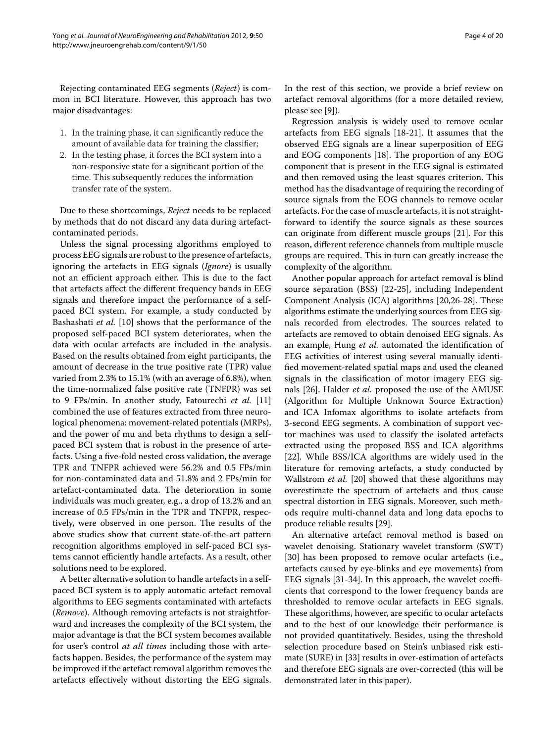Rejecting contaminated EEG segments (*Reject*) is common in BCI literature. However, this approach has two major disadvantages:

- 1. In the training phase, it can significantly reduce the amount of available data for training the classifier;
- 2. In the testing phase, it forces the BCI system into a non-responsive state for a significant portion of the time. This subsequently reduces the information transfer rate of the system.

Due to these shortcomings, *Reject* needs to be replaced by methods that do not discard any data during artefactcontaminated periods.

Unless the signal processing algorithms employed to process EEG signals are robust to the presence of artefacts, ignoring the artefacts in EEG signals (*Ignore*) is usually not an efficient approach either. This is due to the fact that artefacts affect the different frequency bands in EEG signals and therefore impact the performance of a selfpaced BCI system. For example, a study conducted by Bashashati *et al.* [\[10\]](#page-18-0) shows that the performance of the proposed self-paced BCI system deteriorates, when the data with ocular artefacts are included in the analysis. Based on the results obtained from eight participants, the amount of decrease in the true positive rate (TPR) value varied from 2.3% to 15.1% (with an average of 6.8%), when the time-normalized false positive rate (TNFPR) was set to 9 FPs/min. In another study, Fatourechi *et al.* [\[11\]](#page-18-0) combined the use of features extracted from three neurological phenomena: movement-related potentials (MRPs), and the power of mu and beta rhythms to design a selfpaced BCI system that is robust in the presence of artefacts. Using a five-fold nested cross validation, the average TPR and TNFPR achieved were 56.2% and 0.5 FPs/min for non-contaminated data and 51.8% and 2 FPs/min for artefact-contaminated data. The deterioration in some individuals was much greater, e.g., a drop of 13.2% and an increase of 0.5 FPs/min in the TPR and TNFPR, respectively, were observed in one person. The results of the above studies show that current state-of-the-art pattern recognition algorithms employed in self-paced BCI systems cannot efficiently handle artefacts. As a result, other solutions need to be explored.

A better alternative solution to handle artefacts in a selfpaced BCI system is to apply automatic artefact removal algorithms to EEG segments contaminated with artefacts (*Remove*). Although removing artefacts is not straightforward and increases the complexity of the BCI system, the major advantage is that the BCI system becomes available for user's control *at all times* including those with artefacts happen. Besides, the performance of the system may be improved if the artefact removal algorithm removes the artefacts effectively without distorting the EEG signals.

In the rest of this section, we provide a brief review on artefact removal algorithms (for a more detailed review, please see [\[9\]](#page-18-0)).

Regression analysis is widely used to remove ocular artefacts from EEG signals [\[18-21\]](#page-18-0). It assumes that the observed EEG signals are a linear superposition of EEG and EOG components [\[18\]](#page-18-0). The proportion of any EOG component that is present in the EEG signal is estimated and then removed using the least squares criterion. This method has the disadvantage of requiring the recording of source signals from the EOG channels to remove ocular artefacts. For the case of muscle artefacts, it is not straightforward to identify the source signals as these sources can originate from different muscle groups [\[21\]](#page-18-0). For this reason, different reference channels from multiple muscle groups are required. This in turn can greatly increase the complexity of the algorithm.

Another popular approach for artefact removal is blind source separation (BSS) [\[22-25\]](#page-18-0), including Independent Component Analysis (ICA) algorithms [\[20,26-28\]](#page-18-0). These algorithms estimate the underlying sources from EEG signals recorded from electrodes. The sources related to artefacts are removed to obtain denoised EEG signals. As an example, Hung *et al.* automated the identification of EEG activities of interest using several manually identified movement-related spatial maps and used the cleaned signals in the classification of motor imagery EEG signals [\[26\]](#page-18-0). Halder *et al.* proposed the use of the AMUSE (Algorithm for Multiple Unknown Source Extraction) and ICA Infomax algorithms to isolate artefacts from 3-second EEG segments. A combination of support vector machines was used to classify the isolated artefacts extracted using the proposed BSS and ICA algorithms [\[22\]](#page-18-0). While BSS/ICA algorithms are widely used in the literature for removing artefacts, a study conducted by Wallstrom *et al.* [\[20\]](#page-18-0) showed that these algorithms may overestimate the spectrum of artefacts and thus cause spectral distortion in EEG signals. Moreover, such methods require multi-channel data and long data epochs to produce reliable results [\[29\]](#page-18-0).

An alternative artefact removal method is based on wavelet denoising. Stationary wavelet transform (SWT) [\[30\]](#page-18-0) has been proposed to remove ocular artefacts (i.e., artefacts caused by eye-blinks and eye movements) from EEG signals [\[31-34\]](#page-18-0). In this approach, the wavelet coefficients that correspond to the lower frequency bands are thresholded to remove ocular artefacts in EEG signals. These algorithms, however, are specific to ocular artefacts and to the best of our knowledge their performance is not provided quantitatively. Besides, using the threshold selection procedure based on Stein's unbiased risk estimate (SURE) in [\[33\]](#page-18-0) results in over-estimation of artefacts and therefore EEG signals are over-corrected (this will be demonstrated later in this paper).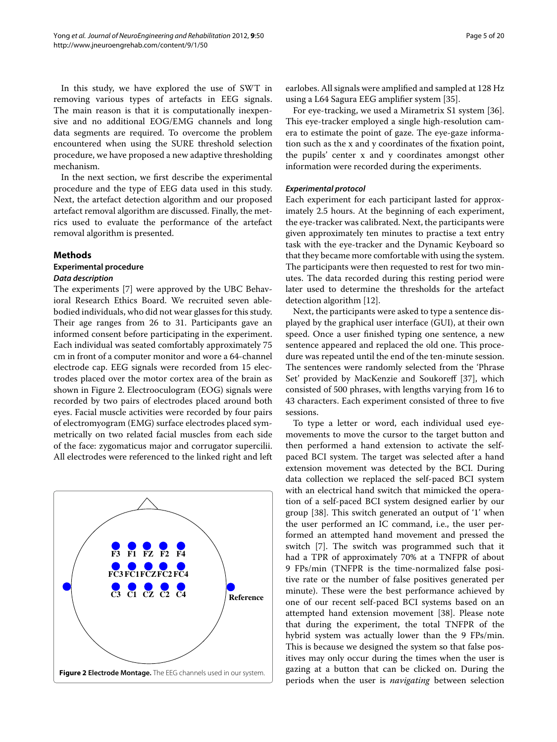In this study, we have explored the use of SWT in removing various types of artefacts in EEG signals. The main reason is that it is computationally inexpensive and no additional EOG/EMG channels and long data segments are required. To overcome the problem encountered when using the SURE threshold selection procedure, we have proposed a new adaptive thresholding mechanism.

In the next section, we first describe the experimental procedure and the type of EEG data used in this study. Next, the artefact detection algorithm and our proposed artefact removal algorithm are discussed. Finally, the metrics used to evaluate the performance of the artefact removal algorithm is presented.

# **Methods**

# **Experimental procedure** *Data description*

The experiments [\[7\]](#page-18-0) were approved by the UBC Behavioral Research Ethics Board. We recruited seven ablebodied individuals, who did not wear glasses for this study. Their age ranges from 26 to 31. Participants gave an informed consent before participating in the experiment. Each individual was seated comfortably approximately 75 cm in front of a computer monitor and wore a 64-channel electrode cap. EEG signals were recorded from 15 electrodes placed over the motor cortex area of the brain as shown in Figure 2. Electrooculogram (EOG) signals were recorded by two pairs of electrodes placed around both eyes. Facial muscle activities were recorded by four pairs of electromyogram (EMG) surface electrodes placed symmetrically on two related facial muscles from each side of the face: zygomaticus major and corrugator supercilii. All electrodes were referenced to the linked right and left



For eye-tracking, we used a Mirametrix S1 system [\[36\]](#page-19-0). This eye-tracker employed a single high-resolution camera to estimate the point of gaze. The eye-gaze information such as the x and y coordinates of the fixation point, the pupils' center x and y coordinates amongst other information were recorded during the experiments.

# *Experimental protocol*

Each experiment for each participant lasted for approximately 2.5 hours. At the beginning of each experiment, the eye-tracker was calibrated. Next, the participants were given approximately ten minutes to practise a text entry task with the eye-tracker and the Dynamic Keyboard so that they became more comfortable with using the system. The participants were then requested to rest for two minutes. The data recorded during this resting period were later used to determine the thresholds for the artefact detection algorithm [\[12\]](#page-18-0).

Next, the participants were asked to type a sentence displayed by the graphical user interface (GUI), at their own speed. Once a user finished typing one sentence, a new sentence appeared and replaced the old one. This procedure was repeated until the end of the ten-minute session. The sentences were randomly selected from the 'Phrase Set' provided by MacKenzie and Soukoreff [\[37\]](#page-19-0), which consisted of 500 phrases, with lengths varying from 16 to 43 characters. Each experiment consisted of three to five sessions.

To type a letter or word, each individual used eyemovements to move the cursor to the target button and then performed a hand extension to activate the selfpaced BCI system. The target was selected after a hand extension movement was detected by the BCI. During data collection we replaced the self-paced BCI system with an electrical hand switch that mimicked the operation of a self-paced BCI system designed earlier by our group [\[38\]](#page-19-0). This switch generated an output of '1' when the user performed an IC command, i.e., the user performed an attempted hand movement and pressed the switch [\[7\]](#page-18-0). The switch was programmed such that it had a TPR of approximately 70% at a TNFPR of about 9 FPs/min (TNFPR is the time-normalized false positive rate or the number of false positives generated per minute). These were the best performance achieved by one of our recent self-paced BCI systems based on an attempted hand extension movement [\[38\]](#page-19-0). Please note that during the experiment, the total TNFPR of the hybrid system was actually lower than the 9 FPs/min. This is because we designed the system so that false positives may only occur during the times when the user is gazing at a button that can be clicked on. During the periods when the user is *navigating* between selection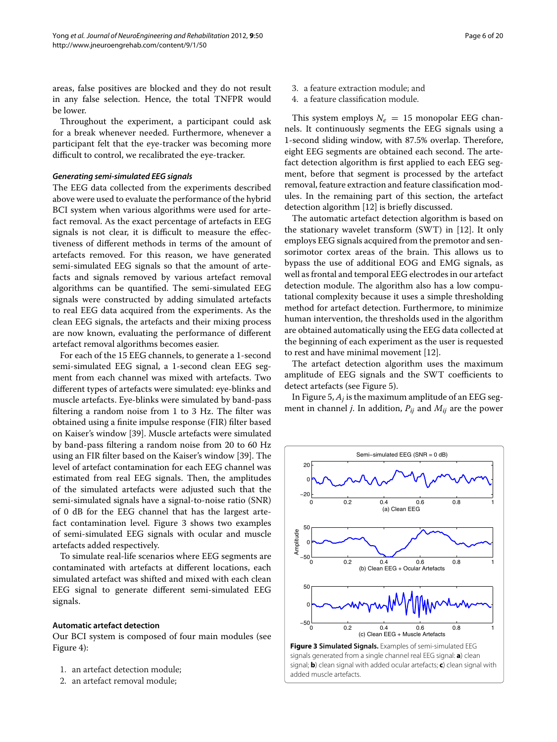areas, false positives are blocked and they do not result in any false selection. Hence, the total TNFPR would be lower.

Throughout the experiment, a participant could ask for a break whenever needed. Furthermore, whenever a participant felt that the eye-tracker was becoming more difficult to control, we recalibrated the eye-tracker.

# *Generating semi-simulated EEG signals*

The EEG data collected from the experiments described above were used to evaluate the performance of the hybrid BCI system when various algorithms were used for artefact removal. As the exact percentage of artefacts in EEG signals is not clear, it is difficult to measure the effectiveness of different methods in terms of the amount of artefacts removed. For this reason, we have generated semi-simulated EEG signals so that the amount of artefacts and signals removed by various artefact removal algorithms can be quantified. The semi-simulated EEG signals were constructed by adding simulated artefacts to real EEG data acquired from the experiments. As the clean EEG signals, the artefacts and their mixing process are now known, evaluating the performance of different artefact removal algorithms becomes easier.

For each of the 15 EEG channels, to generate a 1-second semi-simulated EEG signal, a 1-second clean EEG segment from each channel was mixed with artefacts. Two different types of artefacts were simulated: eye-blinks and muscle artefacts. Eye-blinks were simulated by band-pass filtering a random noise from 1 to 3 Hz. The filter was obtained using a finite impulse response (FIR) filter based on Kaiser's window [\[39\]](#page-19-0). Muscle artefacts were simulated by band-pass filtering a random noise from 20 to 60 Hz using an FIR filter based on the Kaiser's window [\[39\]](#page-19-0). The level of artefact contamination for each EEG channel was estimated from real EEG signals. Then, the amplitudes of the simulated artefacts were adjusted such that the semi-simulated signals have a signal-to-noise ratio (SNR) of 0 dB for the EEG channel that has the largest artefact contamination level. Figure 3 shows two examples of semi-simulated EEG signals with ocular and muscle artefacts added respectively.

To simulate real-life scenarios where EEG segments are contaminated with artefacts at different locations, each simulated artefact was shifted and mixed with each clean EEG signal to generate different semi-simulated EEG signals.

# **Automatic artefact detection**

Our BCI system is composed of four main modules (see Figure [4\)](#page-6-0):

- 1. an artefact detection module;
- 2. an artefact removal module;
- 3. a feature extraction module; and
- 4. a feature classification module.

This system employs  $N_e = 15$  monopolar EEG channels. It continuously segments the EEG signals using a 1-second sliding window, with 87.5% overlap. Therefore, eight EEG segments are obtained each second. The artefact detection algorithm is first applied to each EEG segment, before that segment is processed by the artefact removal, feature extraction and feature classification modules. In the remaining part of this section, the artefact detection algorithm [\[12\]](#page-18-0) is briefly discussed.

The automatic artefact detection algorithm is based on the stationary wavelet transform (SWT) in [\[12\]](#page-18-0). It only employs EEG signals acquired from the premotor and sensorimotor cortex areas of the brain. This allows us to bypass the use of additional EOG and EMG signals, as well as frontal and temporal EEG electrodes in our artefact detection module. The algorithm also has a low computational complexity because it uses a simple thresholding method for artefact detection. Furthermore, to minimize human intervention, the thresholds used in the algorithm are obtained automatically using the EEG data collected at the beginning of each experiment as the user is requested to rest and have minimal movement [\[12\]](#page-18-0).

The artefact detection algorithm uses the maximum amplitude of EEG signals and the SWT coefficients to detect artefacts (see Figure [5\)](#page-6-0).

In Figure [5,](#page-6-0)  $A_i$  is the maximum amplitude of an EEG segment in channel *j*. In addition, *Pij* and *Mij* are the power

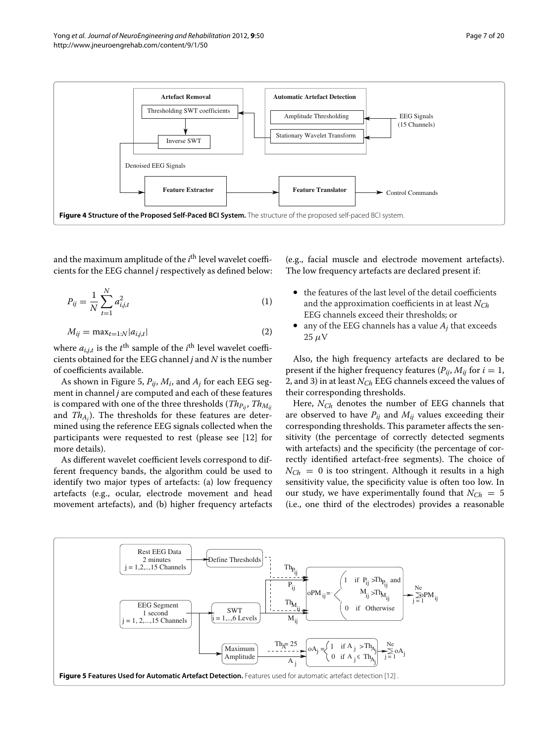<span id="page-6-0"></span>

and the maximum amplitude of the *i*<sup>th</sup> level wavelet coefficients for the EEG channel *j* respectively as defined below:

$$
P_{ij} = \frac{1}{N} \sum_{t=1}^{N} a_{i,j,t}^2
$$
 (1)

$$
M_{ij} = \max_{t=1:N} |a_{i,j,t}| \tag{2}
$$

where  $a_{i,j,t}$  is the  $t^{\text{th}}$  sample of the  $i^{\text{th}}$  level wavelet coefficients obtained for the EEG channel *j* and *N* is the number of coefficients available.

As shown in Figure 5, *Pij*, *Mi*, and *Aj* for each EEG segment in channel *j* are computed and each of these features is compared with one of the three thresholds ( $Th_{P_{ij}}$ ,  $Th_{M_{ij}}$ and *ThAj* ). The thresholds for these features are determined using the reference EEG signals collected when the participants were requested to rest (please see [\[12\]](#page-18-0) for more details).

As different wavelet coefficient levels correspond to different frequency bands, the algorithm could be used to identify two major types of artefacts: (a) low frequency artefacts (e.g., ocular, electrode movement and head movement artefacts), and (b) higher frequency artefacts

(e.g., facial muscle and electrode movement artefacts). The low frequency artefacts are declared present if:

- the features of the last level of the detail coefficients and the approximation coefficients in at least *NCh* EEG channels exceed their thresholds; or
- any of the EEG channels has a value  $A_i$  that exceeds  $25 \mu V$

Also, the high frequency artefacts are declared to be present if the higher frequency features  $(P_{ii}, M_{ii})$  for  $i = 1$ , 2, and 3) in at least *NCh* EEG channels exceed the values of their corresponding thresholds.

Here, *NCh* denotes the number of EEG channels that are observed to have  $P_{ij}$  and  $M_{ij}$  values exceeding their corresponding thresholds. This parameter affects the sensitivity (the percentage of correctly detected segments with artefacts) and the specificity (the percentage of correctly identified artefact-free segments). The choice of  $N_{Ch} = 0$  is too stringent. Although it results in a high sensitivity value, the specificity value is often too low. In our study, we have experimentally found that  $N_{Ch} = 5$ (i.e., one third of the electrodes) provides a reasonable

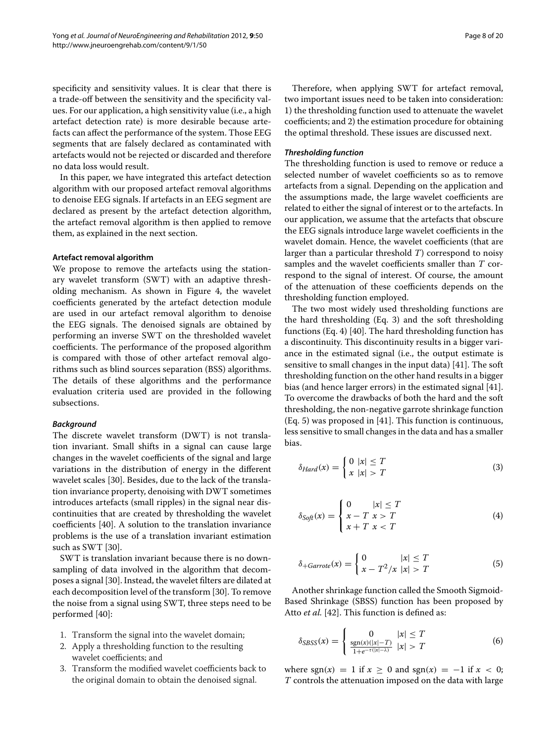specificity and sensitivity values. It is clear that there is a trade-off between the sensitivity and the specificity values. For our application, a high sensitivity value (i.e., a high artefact detection rate) is more desirable because artefacts can affect the performance of the system. Those EEG segments that are falsely declared as contaminated with artefacts would not be rejected or discarded and therefore no data loss would result.

In this paper, we have integrated this artefact detection algorithm with our proposed artefact removal algorithms to denoise EEG signals. If artefacts in an EEG segment are declared as present by the artefact detection algorithm, the artefact removal algorithm is then applied to remove them, as explained in the next section.

# **Artefact removal algorithm**

We propose to remove the artefacts using the stationary wavelet transform (SWT) with an adaptive thresholding mechanism. As shown in Figure [4,](#page-6-0) the wavelet coefficients generated by the artefact detection module are used in our artefact removal algorithm to denoise the EEG signals. The denoised signals are obtained by performing an inverse SWT on the thresholded wavelet coefficients. The performance of the proposed algorithm is compared with those of other artefact removal algorithms such as blind sources separation (BSS) algorithms. The details of these algorithms and the performance evaluation criteria used are provided in the following subsections.

# *Background*

The discrete wavelet transform (DWT) is not translation invariant. Small shifts in a signal can cause large changes in the wavelet coefficients of the signal and large variations in the distribution of energy in the different wavelet scales [\[30\]](#page-18-0). Besides, due to the lack of the translation invariance property, denoising with DWT sometimes introduces artefacts (small ripples) in the signal near discontinuities that are created by thresholding the wavelet coefficients [\[40\]](#page-19-0). A solution to the translation invariance problems is the use of a translation invariant estimation such as SWT [\[30\]](#page-18-0).

SWT is translation invariant because there is no downsampling of data involved in the algorithm that decomposes a signal [\[30\]](#page-18-0). Instead, the wavelet filters are dilated at each decomposition level of the transform [\[30\]](#page-18-0). To remove the noise from a signal using SWT, three steps need to be performed [\[40\]](#page-19-0):

- 1. Transform the signal into the wavelet domain;
- 2. Apply a thresholding function to the resulting wavelet coefficients; and
- 3. Transform the modified wavelet coefficients back to the original domain to obtain the denoised signal.

Therefore, when applying SWT for artefact removal, two important issues need to be taken into consideration: 1) the thresholding function used to attenuate the wavelet coefficients; and 2) the estimation procedure for obtaining the optimal threshold. These issues are discussed next.

# *Thresholding function*

The thresholding function is used to remove or reduce a selected number of wavelet coefficients so as to remove artefacts from a signal. Depending on the application and the assumptions made, the large wavelet coefficients are related to either the signal of interest or to the artefacts. In our application, we assume that the artefacts that obscure the EEG signals introduce large wavelet coefficients in the wavelet domain. Hence, the wavelet coefficients (that are larger than a particular threshold *T*) correspond to noisy samples and the wavelet coefficients smaller than *T* correspond to the signal of interest. Of course, the amount of the attenuation of these coefficients depends on the thresholding function employed.

The two most widely used thresholding functions are the hard thresholding (Eq. 3) and the soft thresholding functions (Eq. 4) [\[40\]](#page-19-0). The hard thresholding function has a discontinuity. This discontinuity results in a bigger variance in the estimated signal (i.e., the output estimate is sensitive to small changes in the input data) [\[41\]](#page-19-0). The soft thresholding function on the other hand results in a bigger bias (and hence larger errors) in the estimated signal [\[41\]](#page-19-0). To overcome the drawbacks of both the hard and the soft thresholding, the non-negative garrote shrinkage function (Eq. 5) was proposed in [\[41\]](#page-19-0). This function is continuous, less sensitive to small changes in the data and has a smaller bias.

$$
\delta_{Hard}(x) = \begin{cases} 0 & |x| \le T \\ x & |x| > T \end{cases}
$$
 (3)

$$
\delta_{Soft}(x) = \begin{cases}\n0 & |x| \le T \\
x - T & x > T \\
x + T & x < T\n\end{cases}
$$
\n(4)

$$
\delta_{+\text{Garrote}}(x) = \begin{cases} 0 & |x| \le T \\ x - T^2 / x & |x| > T \end{cases} \tag{5}
$$

Another shrinkage function called the Smooth Sigmoid-Based Shrinkage (SBSS) function has been proposed by Atto *et al.* [\[42\]](#page-19-0). This function is defined as:

$$
\delta_{SBSS}(x) = \begin{cases} 0 & |x| \le T \\ \frac{\text{sgn}(x)(|x|-T)}{1+e^{-\tau(|x|-\lambda)}} & |x| > T \end{cases}
$$
 (6)

where  $sgn(x) = 1$  if  $x > 0$  and  $sgn(x) = -1$  if  $x < 0$ ; *T* controls the attenuation imposed on the data with large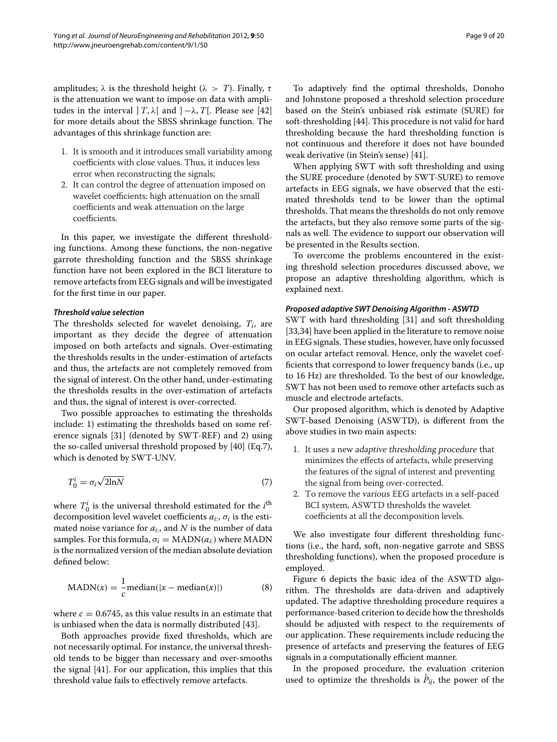<span id="page-8-0"></span>amplitudes;  $\lambda$  is the threshold height ( $\lambda > T$ ). Finally,  $\tau$ is the attenuation we want to impose on data with amplitudes in the interval  $[T, \lambda]$  and  $[-\lambda, T]$ . Please see [\[42\]](#page-19-0) for more details about the SBSS shrinkage function. The advantages of this shrinkage function are:

- 1. It is smooth and it introduces small variability among coefficients with close values. Thus, it induces less error when reconstructing the signals;
- 2. It can control the degree of attenuation imposed on wavelet coefficients: high attenuation on the small coefficients and weak attenuation on the large coefficients.

In this paper, we investigate the different thresholding functions. Among these functions, the non-negative garrote thresholding function and the SBSS shrinkage function have not been explored in the BCI literature to remove artefacts from EEG signals and will be investigated for the first time in our paper.

# *Threshold value selection*

The thresholds selected for wavelet denoising, *Ti*, are important as they decide the degree of attenuation imposed on both artefacts and signals. Over-estimating the thresholds results in the under-estimation of artefacts and thus, the artefacts are not completely removed from the signal of interest. On the other hand, under-estimating the thresholds results in the over-estimation of artefacts and thus, the signal of interest is over-corrected.

Two possible approaches to estimating the thresholds include: 1) estimating the thresholds based on some reference signals [\[31\]](#page-18-0) (denoted by SWT-REF) and 2) using the so-called universal threshold proposed by [\[40\]](#page-19-0) (Eq.7), which is denoted by SWT-UNV.

$$
T_0^i = \sigma_i \sqrt{2\ln N} \tag{7}
$$

where  $T_0^i$  is the universal threshold estimated for the  $i^{\text{th}}$ decomposition level wavelet coefficients *ai*:, σ*<sup>i</sup>* is the estimated noise variance for  $a_i$ , and N is the number of data samples. For this formula,  $\sigma_i = \text{MADN}(a_i)$  where MADN is the normalized version of the median absolute deviation defined below:

$$
MADN(x) = \frac{1}{c} \text{median}(|x - \text{median}(x)|)
$$
 (8)

where  $c = 0.6745$ , as this value results in an estimate that is unbiased when the data is normally distributed [\[43\]](#page-19-0).

Both approaches provide fixed thresholds, which are not necessarily optimal. For instance, the universal threshold tends to be bigger than necessary and over-smooths the signal [\[41\]](#page-19-0). For our application, this implies that this threshold value fails to effectively remove artefacts.

To adaptively find the optimal thresholds, Donoho and Johnstone proposed a threshold selection procedure based on the Stein's unbiased risk estimate (SURE) for soft-thresholding [\[44\]](#page-19-0). This procedure is not valid for hard thresholding because the hard thresholding function is not continuous and therefore it does not have bounded weak derivative (in Stein's sense) [\[41\]](#page-19-0).

When applying SWT with soft thresholding and using the SURE procedure (denoted by SWT-SURE) to remove artefacts in EEG signals, we have observed that the estimated thresholds tend to be lower than the optimal thresholds. That means the thresholds do not only remove the artefacts, but they also remove some parts of the signals as well. The evidence to support our observation will be presented in the [Results](#page-11-0) section.

To overcome the problems encountered in the existing threshold selection procedures discussed above, we propose an adaptive thresholding algorithm, which is explained next.

# *Proposed adaptive SWT Denoising Algorithm - ASWTD*

SWT with hard thresholding [\[31\]](#page-18-0) and soft thresholding [\[33,34\]](#page-18-0) have been applied in the literature to remove noise in EEG signals. These studies, however, have only focussed on ocular artefact removal. Hence, only the wavelet coefficients that correspond to lower frequency bands (i.e., up to 16 Hz) are thresholded. To the best of our knowledge, SWT has not been used to remove other artefacts such as muscle and electrode artefacts.

Our proposed algorithm, which is denoted by Adaptive SWT-based Denoising (ASWTD), is different from the above studies in two main aspects:

- 1. It uses a new adaptive thresholding procedure that minimizes the effects of artefacts, while preserving the features of the signal of interest and preventing the signal from being over-corrected.
- 2. To remove the various EEG artefacts in a self-paced BCI system, ASWTD thresholds the wavelet coefficients at all the decomposition levels.

We also investigate four different thresholding functions (i.e., the hard, soft, non-negative garrote and SBSS thresholding functions), when the proposed procedure is employed.

Figure [6](#page-9-0) depicts the basic idea of the ASWTD algorithm. The thresholds are data-driven and adaptively updated. The adaptive thresholding procedure requires a performance-based criterion to decide how the thresholds should be adjusted with respect to the requirements of our application. These requirements include reducing the presence of artefacts and preserving the features of EEG signals in a computationally efficient manner.

In the proposed procedure, the evaluation criterion used to optimize the thresholds is  $\tilde{P}_{ii}$ , the power of the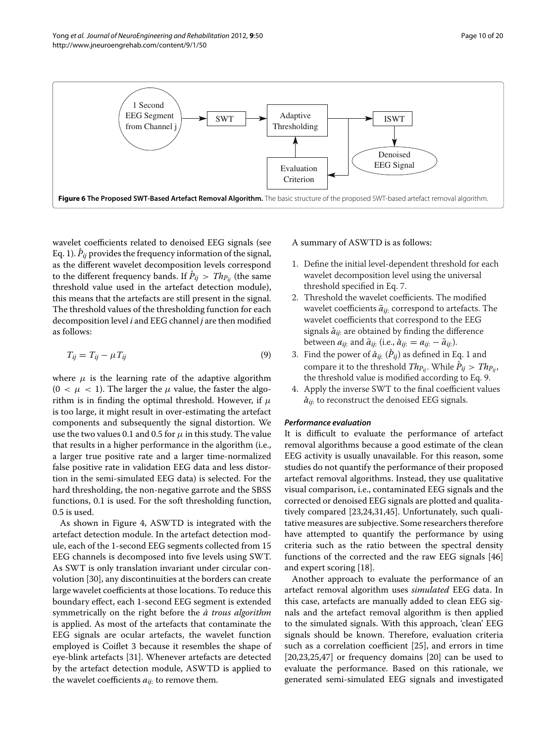<span id="page-9-0"></span>

wavelet coefficients related to denoised EEG signals (see Eq. [1\)](#page-6-0).  $\dot{P}_{ii}$  provides the frequency information of the signal, as the different wavelet decomposition levels correspond to the different frequency bands. If  $\hat{P}_{ij} > Th_{P_{ij}}$  (the same threshold value used in the artefact detection module), this means that the artefacts are still present in the signal. The threshold values of the thresholding function for each decomposition level *i* and EEG channel *j* are then modified as follows:

$$
T_{ij} = T_{ij} - \mu T_{ij} \tag{9}
$$

where  $\mu$  is the learning rate of the adaptive algorithm  $(0 < \mu < 1)$ . The larger the  $\mu$  value, the faster the algorithm is in finding the optimal threshold. However, if  $\mu$ is too large, it might result in over-estimating the artefact components and subsequently the signal distortion. We use the two values 0.1 and 0.5 for  $\mu$  in this study. The value that results in a higher performance in the algorithm (i.e., a larger true positive rate and a larger time-normalized false positive rate in validation EEG data and less distortion in the semi-simulated EEG data) is selected. For the hard thresholding, the non-negative garrote and the SBSS functions, 0.1 is used. For the soft thresholding function, 0.5 is used.

As shown in Figure [4,](#page-6-0) ASWTD is integrated with the artefact detection module. In the artefact detection module, each of the 1-second EEG segments collected from 15 EEG channels is decomposed into five levels using SWT. As SWT is only translation invariant under circular convolution [\[30\]](#page-18-0), any discontinuities at the borders can create large wavelet coefficients at those locations. To reduce this boundary effect, each 1-second EEG segment is extended symmetrically on the right before the *a trous algorithm `* is applied. As most of the artefacts that contaminate the EEG signals are ocular artefacts, the wavelet function employed is Coiflet 3 because it resembles the shape of eye-blink artefacts [\[31\]](#page-18-0). Whenever artefacts are detected by the artefact detection module, ASWTD is applied to the wavelet coefficients *aij*: to remove them.

# A summary of ASWTD is as follows:

- 1. Define the initial level-dependent threshold for each wavelet decomposition level using the universal threshold specified in Eq. [7.](#page-8-0)
- 2. Threshold the wavelet coefficients. The modified wavelet coefficients  $\bar{a}_{ii}$ : correspond to artefacts. The wavelet coefficients that correspond to the EEG signals  $a_{ij}$ : are obtained by finding the difference between  $a_{ij}$ : and  $\bar{a}_{ij}$ : (i.e.,  $\dot{a}_{ij} = a_{ij} - \bar{a}_{ij}$ .).
- 3. Find the power of  $\hat{a}_{ij}$ : ( $\hat{P}_{ij}$ ) as defined in Eq. [1](#page-6-0) and compare it to the threshold  $Th_{P_{ij}}$ . While  $\mathring{P}_{ij} > Th_{P_{ij}}$ , the threshold value is modified according to Eq. 9.
- 4. Apply the inverse SWT to the final coefficient values  $\mathring{a}_{ij}$ : to reconstruct the denoised EEG signals.

# *Performance evaluation*

It is difficult to evaluate the performance of artefact removal algorithms because a good estimate of the clean EEG activity is usually unavailable. For this reason, some studies do not quantify the performance of their proposed artefact removal algorithms. Instead, they use qualitative visual comparison, i.e., contaminated EEG signals and the corrected or denoised EEG signals are plotted and qualitatively compared [\[23,24,31](#page-18-0)[,45\]](#page-19-0). Unfortunately, such qualitative measures are subjective. Some researchers therefore have attempted to quantify the performance by using criteria such as the ratio between the spectral density functions of the corrected and the raw EEG signals [\[46\]](#page-19-0) and expert scoring [\[18\]](#page-18-0).

Another approach to evaluate the performance of an artefact removal algorithm uses *simulated* EEG data. In this case, artefacts are manually added to clean EEG signals and the artefact removal algorithm is then applied to the simulated signals. With this approach, 'clean' EEG signals should be known. Therefore, evaluation criteria such as a correlation coefficient [\[25\]](#page-18-0), and errors in time [\[20,23,25](#page-18-0)[,47\]](#page-19-0) or frequency domains [\[20\]](#page-18-0) can be used to evaluate the performance. Based on this rationale, we generated semi-simulated EEG signals and investigated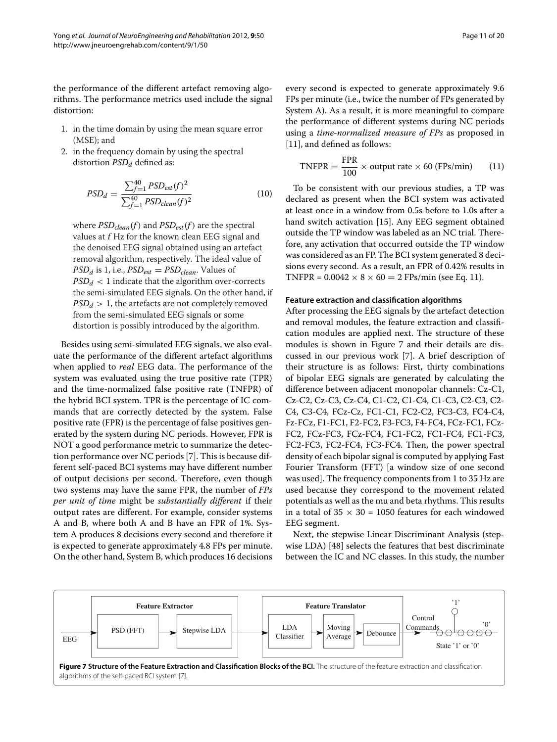<span id="page-10-0"></span>the performance of the different artefact removing algorithms. The performance metrics used include the signal distortion:

- 1. in the time domain by using the mean square error (MSE); and
- 2. in the frequency domain by using the spectral distortion  $PSD<sub>d</sub>$  defined as:

$$
PSD_d = \frac{\sum_{f=1}^{40} PSD_{est}(f)^2}{\sum_{f=1}^{40} PSD_{clean}(f)^2}
$$
(10)

where  $PSD_{clean}(f)$  and  $PSD_{est}(f)$  are the spectral values at  $f$  Hz for the known clean EEG signal and the denoised EEG signal obtained using an artefact removal algorithm, respectively. The ideal value of  $PSD<sub>d</sub>$  is 1, i.e.,  $PSD<sub>est</sub> = PSD<sub>clean</sub>$ . Values of  $PSD_d < 1$  indicate that the algorithm over-corrects the semi-simulated EEG signals. On the other hand, if  $PSD<sub>d</sub>$  > 1, the artefacts are not completely removed from the semi-simulated EEG signals or some distortion is possibly introduced by the algorithm.

Besides using semi-simulated EEG signals, we also evaluate the performance of the different artefact algorithms when applied to *real* EEG data. The performance of the system was evaluated using the true positive rate (TPR) and the time-normalized false positive rate (TNFPR) of the hybrid BCI system. TPR is the percentage of IC commands that are correctly detected by the system. False positive rate (FPR) is the percentage of false positives generated by the system during NC periods. However, FPR is NOT a good performance metric to summarize the detection performance over NC periods [\[7\]](#page-18-0). This is because different self-paced BCI systems may have different number of output decisions per second. Therefore, even though two systems may have the same FPR, the number of *FPs per unit of time* might be *substantially different* if their output rates are different. For example, consider systems A and B, where both A and B have an FPR of 1%. System A produces 8 decisions every second and therefore it is expected to generate approximately 4.8 FPs per minute. On the other hand, System B, which produces 16 decisions

every second is expected to generate approximately 9.6 FPs per minute (i.e., twice the number of FPs generated by System A). As a result, it is more meaningful to compare the performance of different systems during NC periods using a *time-normalized measure of FPs* as proposed in [\[11\]](#page-18-0), and defined as follows:

$$
TNFPR = \frac{FPR}{100} \times \text{output rate} \times 60 \text{ (FPs/min)} \qquad (11)
$$

To be consistent with our previous studies, a TP was declared as present when the BCI system was activated at least once in a window from 0.5s before to 1.0s after a hand switch activation [\[15\]](#page-18-0). Any EEG segment obtained outside the TP window was labeled as an NC trial. Therefore, any activation that occurred outside the TP window was considered as an FP. The BCI system generated 8 decisions every second. As a result, an FPR of 0.42% results in TNFPR =  $0.0042 \times 8 \times 60 = 2$  FPs/min (see Eq. 11).

# **Feature extraction and classification algorithms**

After processing the EEG signals by the artefact detection and removal modules, the feature extraction and classification modules are applied next. The structure of these modules is shown in Figure 7 and their details are discussed in our previous work [\[7\]](#page-18-0). A brief description of their structure is as follows: First, thirty combinations of bipolar EEG signals are generated by calculating the difference between adjacent monopolar channels: Cz-C1, Cz-C2, Cz-C3, Cz-C4, C1-C2, C1-C4, C1-C3, C2-C3, C2- C4, C3-C4, FCz-Cz, FC1-C1, FC2-C2, FC3-C3, FC4-C4, Fz-FCz, F1-FC1, F2-FC2, F3-FC3, F4-FC4, FCz-FC1, FCz-FC2, FCz-FC3, FCz-FC4, FC1-FC2, FC1-FC4, FC1-FC3, FC2-FC3, FC2-FC4, FC3-FC4. Then, the power spectral density of each bipolar signal is computed by applying Fast Fourier Transform (FFT) [a window size of one second was used]. The frequency components from 1 to 35 Hz are used because they correspond to the movement related potentials as well as the mu and beta rhythms. This results in a total of  $35 \times 30 = 1050$  features for each windowed EEG segment.

Next, the stepwise Linear Discriminant Analysis (stepwise LDA) [\[48\]](#page-19-0) selects the features that best discriminate between the IC and NC classes. In this study, the number

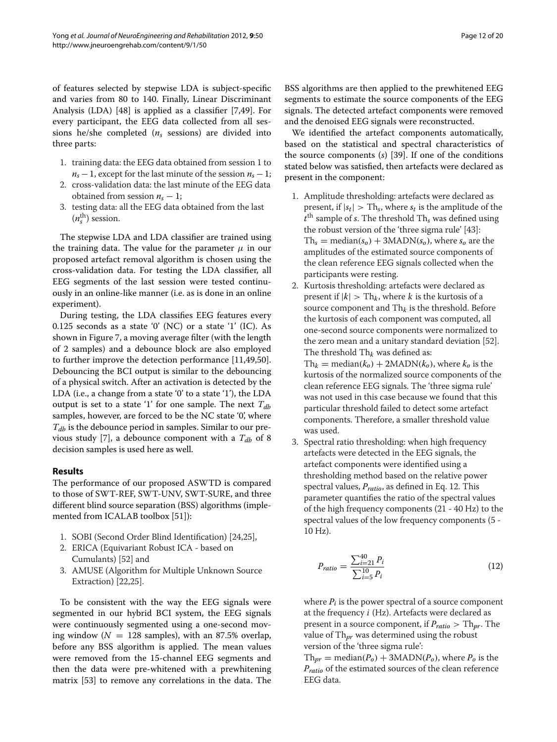<span id="page-11-0"></span>of features selected by stepwise LDA is subject-specific and varies from 80 to 140. Finally, Linear Discriminant Analysis (LDA) [\[48\]](#page-19-0) is applied as a classifier [\[7](#page-18-0)[,49\]](#page-19-0). For every participant, the EEG data collected from all sessions he/she completed (*ns* sessions) are divided into three parts:

- 1. training data: the EEG data obtained from session 1 to  $n<sub>s</sub>$  − 1, except for the last minute of the session  $n<sub>s</sub>$  − 1;
- 2. cross-validation data: the last minute of the EEG data obtained from session  $n_s - 1$ ;
- 3. testing data: all the EEG data obtained from the last  $(n_s^{\text{th}})$  session.

The stepwise LDA and LDA classifier are trained using the training data. The value for the parameter  $\mu$  in our proposed artefact removal algorithm is chosen using the cross-validation data. For testing the LDA classifier, all EEG segments of the last session were tested continuously in an online-like manner (i.e. as is done in an online experiment).

During testing, the LDA classifies EEG features every 0.125 seconds as a state '0' (NC) or a state '1' (IC). As shown in Figure [7,](#page-10-0) a moving average filter (with the length of 2 samples) and a debounce block are also employed to further improve the detection performance [\[11,](#page-18-0)[49,50\]](#page-19-0). Debouncing the BCI output is similar to the debouncing of a physical switch. After an activation is detected by the LDA (i.e., a change from a state '0' to a state '1'), the LDA output is set to a state '1' for one sample. The next  $T_{db}$ samples, however, are forced to be the NC state '0', where *Tdb* is the debounce period in samples. Similar to our pre-vious study [\[7\]](#page-18-0), a debounce component with a  $T_{db}$  of 8 decision samples is used here as well.

# **Results**

The performance of our proposed ASWTD is compared to those of SWT-REF, SWT-UNV, SWT-SURE, and three different blind source separation (BSS) algorithms (implemented from ICALAB toolbox [\[51\]](#page-19-0)):

- 1. SOBI (Second Order Blind Identification) [\[24,25\]](#page-18-0),
- 2. ERICA (Equivariant Robust ICA based on Cumulants) [\[52\]](#page-19-0) and
- 3. AMUSE (Algorithm for Multiple Unknown Source Extraction) [\[22,25\]](#page-18-0).

To be consistent with the way the EEG signals were segmented in our hybrid BCI system, the EEG signals were continuously segmented using a one-second moving window  $(N = 128$  samples), with an 87.5% overlap, before any BSS algorithm is applied. The mean values were removed from the 15-channel EEG segments and then the data were pre-whitened with a prewhitening matrix [\[53\]](#page-19-0) to remove any correlations in the data. The BSS algorithms are then applied to the prewhitened EEG segments to estimate the source components of the EEG signals. The detected artefact components were removed and the denoised EEG signals were reconstructed.

We identified the artefact components automatically, based on the statistical and spectral characteristics of the source components (*s*) [\[39\]](#page-19-0). If one of the conditions stated below was satisfied, then artefacts were declared as present in the component:

- 1. Amplitude thresholding: artefacts were declared as present, if  $|s_t| > Th_s$ , where  $s_t$  is the amplitude of the *t*th sample of *s*. The threshold Th*<sup>s</sup>* was defined using the robust version of the 'three sigma rule' [\[43\]](#page-19-0):  $Th<sub>s</sub> = median(s<sub>o</sub>) + 3MADN(s<sub>o</sub>)$ , where  $s<sub>o</sub>$  are the amplitudes of the estimated source components of the clean reference EEG signals collected when the participants were resting.
- 2. Kurtosis thresholding: artefacts were declared as present if  $|k| > Th_k$ , where k is the kurtosis of a source component and Th*<sup>k</sup>* is the threshold. Before the kurtosis of each component was computed, all one-second source components were normalized to the zero mean and a unitary standard deviation [\[52\]](#page-19-0). The threshold Th*<sup>k</sup>* was defined as:  $Th_k = \text{median}(k_o) + 2 \text{MADN}(k_o)$ , where  $k_o$  is the

kurtosis of the normalized source components of the clean reference EEG signals. The 'three sigma rule' was not used in this case because we found that this particular threshold failed to detect some artefact components. Therefore, a smaller threshold value was used.

3. Spectral ratio thresholding: when high frequency artefacts were detected in the EEG signals, the artefact components were identified using a thresholding method based on the relative power spectral values, *Pratio*, as defined in Eq. 12. This parameter quantifies the ratio of the spectral values of the high frequency components (21 - 40 Hz) to the spectral values of the low frequency components (5 - 10 Hz).

$$
P_{ratio} = \frac{\sum_{i=21}^{40} P_i}{\sum_{i=5}^{10} P_i}
$$
\n(12)

where  $P_i$  is the power spectral of a source component at the frequency <sup>i</sup> (Hz). Artefacts were declared as present in a source component, if *Pratio* > Th*pr*. The value of Th*pr* was determined using the robust version of the 'three sigma rule':

 $Th_{pr} = \text{median}(P_o) + 3 \text{MADN}(P_o)$ , where  $P_o$  is the *Pratio* of the estimated sources of the clean reference EEG data.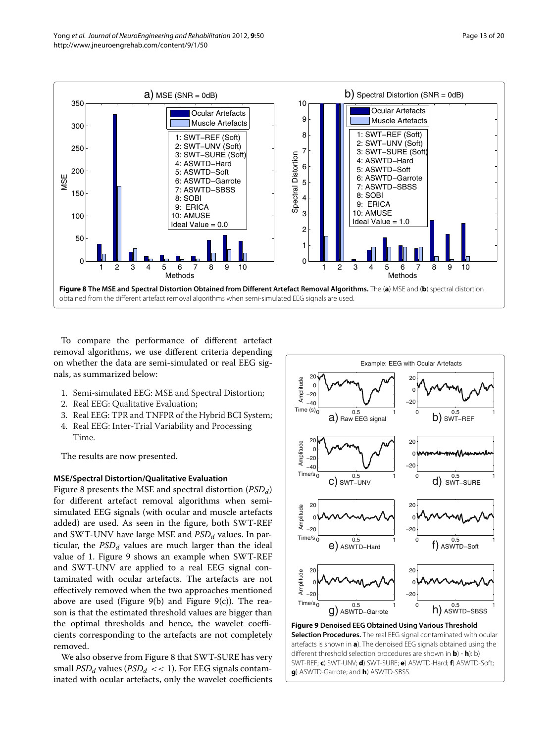<span id="page-12-0"></span>

To compare the performance of different artefact removal algorithms, we use different criteria depending on whether the data are semi-simulated or real EEG signals, as summarized below:

- 1. Semi-simulated EEG: MSE and Spectral Distortion;
- 2. Real EEG: Qualitative Evaluation;
- 3. Real EEG: TPR and TNFPR of the Hybrid BCI System;
- 4. Real EEG: Inter-Trial Variability and Processing Time.

The results are now presented.

# **MSE/Spectral Distortion/Qualitative Evaluation**

Figure 8 presents the MSE and spectral distortion (*PSD<sub>d</sub>*) for different artefact removal algorithms when semisimulated EEG signals (with ocular and muscle artefacts added) are used. As seen in the figure, both SWT-REF and SWT-UNV have large MSE and PSD<sub>d</sub> values. In particular, the  $PSD<sub>d</sub>$  values are much larger than the ideal value of 1. Figure 9 shows an example when SWT-REF and SWT-UNV are applied to a real EEG signal contaminated with ocular artefacts. The artefacts are not effectively removed when the two approaches mentioned above are used (Figure 9(b) and Figure 9(c)). The reason is that the estimated threshold values are bigger than the optimal thresholds and hence, the wavelet coefficients corresponding to the artefacts are not completely removed.

We also observe from Figure 8 that SWT-SURE has very small  $PSD<sub>d</sub>$  values ( $PSD<sub>d</sub> << 1$ ). For EEG signals contaminated with ocular artefacts, only the wavelet coefficients



different threshold selection procedures are shown in **b**) - **h**): b) SWT-REF; **c**) SWT-UNV; **d**) SWT-SURE; **e**) ASWTD-Hard; **f**) ASWTD-Soft; **g**) ASWTD-Garrote; and **h**) ASWTD-SBSS.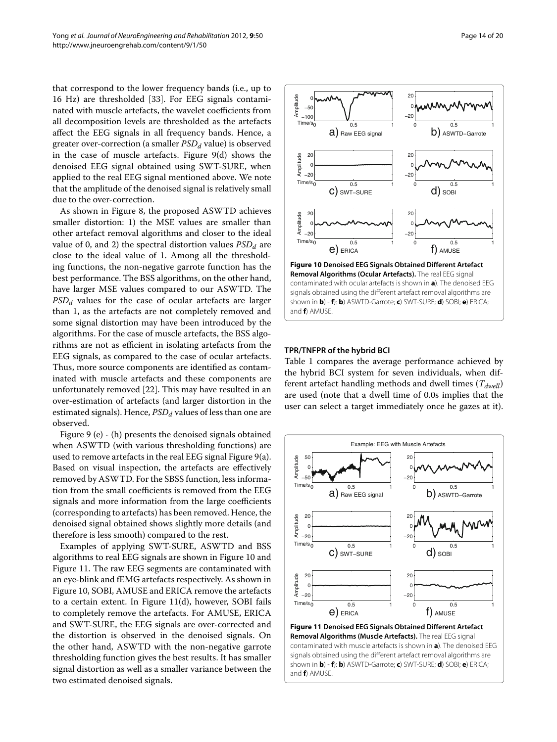<span id="page-13-0"></span>that correspond to the lower frequency bands (i.e., up to 16 Hz) are thresholded [\[33\]](#page-18-0). For EEG signals contaminated with muscle artefacts, the wavelet coefficients from all decomposition levels are thresholded as the artefacts affect the EEG signals in all frequency bands. Hence, a greater over-correction (a smaller *PSD<sub>d</sub>* value) is observed in the case of muscle artefacts. Figure [9\(](#page-12-0)d) shows the denoised EEG signal obtained using SWT-SURE, when applied to the real EEG signal mentioned above. We note that the amplitude of the denoised signal is relatively small due to the over-correction.

As shown in Figure [8,](#page-12-0) the proposed ASWTD achieves smaller distortion: 1) the MSE values are smaller than other artefact removal algorithms and closer to the ideal value of 0, and 2) the spectral distortion values  $PSD<sub>d</sub>$  are close to the ideal value of 1. Among all the thresholding functions, the non-negative garrote function has the best performance. The BSS algorithms, on the other hand, have larger MSE values compared to our ASWTD. The *PSDd* values for the case of ocular artefacts are larger than 1, as the artefacts are not completely removed and some signal distortion may have been introduced by the algorithms. For the case of muscle artefacts, the BSS algorithms are not as efficient in isolating artefacts from the EEG signals, as compared to the case of ocular artefacts. Thus, more source components are identified as contaminated with muscle artefacts and these components are unfortunately removed [\[22\]](#page-18-0). This may have resulted in an over-estimation of artefacts (and larger distortion in the estimated signals). Hence,  $PSD<sub>d</sub>$  values of less than one are observed.

Figure [9](#page-12-0) (e) - (h) presents the denoised signals obtained when ASWTD (with various thresholding functions) are used to remove artefacts in the real EEG signal Figure [9\(](#page-12-0)a). Based on visual inspection, the artefacts are effectively removed by ASWTD. For the SBSS function, less information from the small coefficients is removed from the EEG signals and more information from the large coefficients (corresponding to artefacts) has been removed. Hence, the denoised signal obtained shows slightly more details (and therefore is less smooth) compared to the rest.

Examples of applying SWT-SURE, ASWTD and BSS algorithms to real EEG signals are shown in Figure 10 and Figure 11. The raw EEG segments are contaminated with an eye-blink and fEMG artefacts respectively. As shown in Figure 10, SOBI, AMUSE and ERICA remove the artefacts to a certain extent. In Figure 11(d), however, SOBI fails to completely remove the artefacts. For AMUSE, ERICA and SWT-SURE, the EEG signals are over-corrected and the distortion is observed in the denoised signals. On the other hand, ASWTD with the non-negative garrote thresholding function gives the best results. It has smaller signal distortion as well as a smaller variance between the two estimated denoised signals.



# **TPR/TNFPR of the hybrid BCI**

Table [1](#page-14-0) compares the average performance achieved by the hybrid BCI system for seven individuals, when different artefact handling methods and dwell times ( $T_{dwell}$ ) are used (note that a dwell time of 0.0s implies that the user can select a target immediately once he gazes at it).

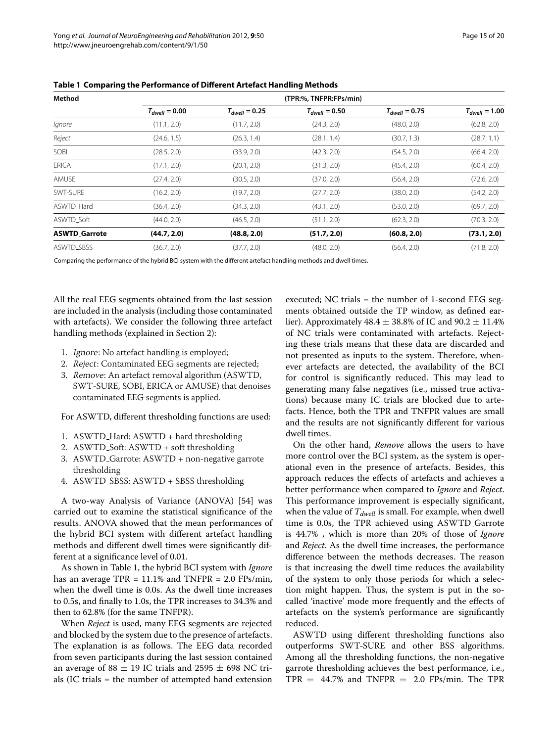| Method               | (TPR:%, TNFPR:FPs/min) |                    |                    |                    |                    |  |
|----------------------|------------------------|--------------------|--------------------|--------------------|--------------------|--|
|                      | $T_{dwell} = 0.00$     | $T_{dwell} = 0.25$ | $T_{dwell} = 0.50$ | $T_{dwell} = 0.75$ | $T_{dwell} = 1.00$ |  |
| lgnore               | (11.1, 2.0)            | (11.7, 2.0)        | (24.3, 2.0)        | (48.0, 2.0)        | (62.8, 2.0)        |  |
| Reject               | (24.6, 1.5)            | (26.3, 1.4)        | (28.1, 1.4)        | (30.7, 1.3)        | (28.7, 1.1)        |  |
| SOBI                 | (28.5, 2.0)            | (33.9, 2.0)        | (42.3, 2.0)        | (54.5, 2.0)        | (66.4, 2.0)        |  |
| <b>ERICA</b>         | (17.1, 2.0)            | (20.1, 2.0)        | (31.3, 2.0)        | (45.4, 2.0)        | (60.4, 2.0)        |  |
| AMUSE                | (27.4, 2.0)            | (30.5, 2.0)        | (37.0, 2.0)        | (56.4, 2.0)        | (72.6, 2.0)        |  |
| SWT-SURE             | (16.2, 2.0)            | (19.7, 2.0)        | (27.7, 2.0)        | (38.0, 2.0)        | (54.2, 2.0)        |  |
| ASWTD_Hard           | (36.4, 2.0)            | (34.3, 2.0)        | (43.1, 2.0)        | (53.0, 2.0)        | (69.7, 2.0)        |  |
| ASWTD_Soft           | (44.0, 2.0)            | (46.5, 2.0)        | (51.1, 2.0)        | (62.3, 2.0)        | (70.3, 2.0)        |  |
| <b>ASWTD_Garrote</b> | (44.7, 2.0)            | (48.8, 2.0)        | (51.7, 2.0)        | (60.8, 2.0)        | (73.1, 2.0)        |  |
| ASWTD_SBSS           | (36.7, 2.0)            | (37.7, 2.0)        | (48.0, 2.0)        | (56.4, 2.0)        | (71.8, 2.0)        |  |

<span id="page-14-0"></span>**Table 1 Comparing the Performance of Different Artefact Handling Methods**

Comparing the performance of the hybrid BCI system with the different artefact handling methods and dwell times.

All the real EEG segments obtained from the last session are included in the analysis (including those contaminated with artefacts). We consider the following three artefact handling methods (explained in Section 2):

- 1. Ignore: No artefact handling is employed;
- 2. Reject: Contaminated EEG segments are rejected;
- 3. Remove: An artefact removal algorithm (ASWTD, SWT-SURE, SOBI, ERICA or AMUSE) that denoises contaminated EEG segments is applied.

For ASWTD, different thresholding functions are used:

- 1. ASWTD Hard: ASWTD + hard thresholding
- 2. ASWTD\_Soft: ASWTD + soft thresholding
- 3. ASWTD Garrote: ASWTD + non-negative garrote thresholding
- 4. ASWTD SBSS: ASWTD + SBSS thresholding

A two-way Analysis of Variance (ANOVA) [\[54\]](#page-19-0) was carried out to examine the statistical significance of the results. ANOVA showed that the mean performances of the hybrid BCI system with different artefact handling methods and different dwell times were significantly different at a significance level of 0.01.

As shown in Table 1, the hybrid BCI system with *Ignore* has an average  $TPR = 11.1\%$  and  $TNFPR = 2.0$   $FPs/min$ , when the dwell time is 0.0s. As the dwell time increases to 0.5s, and finally to 1.0s, the TPR increases to 34.3% and then to 62.8% (for the same TNFPR).

When *Reject* is used, many EEG segments are rejected and blocked by the system due to the presence of artefacts. The explanation is as follows. The EEG data recorded from seven participants during the last session contained an average of 88  $\pm$  19 IC trials and 2595  $\pm$  698 NC trials (IC trials = the number of attempted hand extension executed; NC trials = the number of 1-second EEG segments obtained outside the TP window, as defined earlier). Approximately  $48.4 \pm 38.8\%$  of IC and  $90.2 \pm 11.4\%$ of NC trials were contaminated with artefacts. Rejecting these trials means that these data are discarded and not presented as inputs to the system. Therefore, whenever artefacts are detected, the availability of the BCI for control is significantly reduced. This may lead to generating many false negatives (i.e., missed true activations) because many IC trials are blocked due to artefacts. Hence, both the TPR and TNFPR values are small and the results are not significantly different for various dwell times.

On the other hand, *Remove* allows the users to have more control over the BCI system, as the system is operational even in the presence of artefacts. Besides, this approach reduces the effects of artefacts and achieves a better performance when compared to *Ignore* and *Reject*. This performance improvement is especially significant, when the value of  $T_{dwell}$  is small. For example, when dwell time is 0.0s, the TPR achieved using ASWTD Garrote is 44.7% , which is more than 20% of those of *Ignore* and *Reject*. As the dwell time increases, the performance difference between the methods decreases. The reason is that increasing the dwell time reduces the availability of the system to only those periods for which a selection might happen. Thus, the system is put in the socalled 'inactive' mode more frequently and the effects of artefacts on the system's performance are significantly reduced.

ASWTD using different thresholding functions also outperforms SWT-SURE and other BSS algorithms. Among all the thresholding functions, the non-negative garrote thresholding achieves the best performance, i.e.,  $TPR = 44.7\%$  and  $TNFPR = 2.0$  FPs/min. The TPR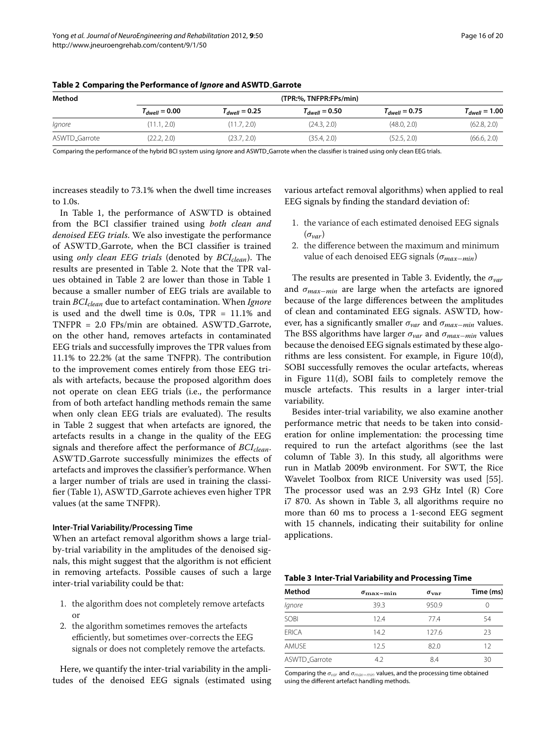| Method                    | (TPR:%, TNFPR:FPs/min) |                    |                    |                    |                    |  |
|---------------------------|------------------------|--------------------|--------------------|--------------------|--------------------|--|
|                           | $T_{dwell} = 0.00$     | $T_{dwell} = 0.25$ | $T_{dwell} = 0.50$ | $T_{dwell} = 0.75$ | $T_{dwell} = 1.00$ |  |
| lgnore                    | (11.1, 2.0)            | (11.7, 2.0)        | (24.3, 2.0)        | (48.0, 2.0)        | (62.8, 2.0)        |  |
| ASWTD <sub>-Garrote</sub> | (22.2, 2.0)            | (23.7, 2.0)        | (35.4, 2.0)        | (52.5, 2.0)        | (66.6, 2.0)        |  |

<span id="page-15-0"></span>**Table 2 Comparing the Performance of** *Ignore* **and ASWTD Garrote**

Comparing the performance of the hybrid BCI system using *Ignore* and ASWTD Garrote when the classifier is trained using only clean EEG trials.

increases steadily to 73.1% when the dwell time increases to 1.0s.

In Table [1,](#page-14-0) the performance of ASWTD is obtained from the BCI classifier trained using *both clean and denoised EEG trials*. We also investigate the performance of ASWTD Garrote, when the BCI classifier is trained using *only clean EEG trials* (denoted by  $BCI_{clean}$ ). The results are presented in Table 2. Note that the TPR values obtained in Table 2 are lower than those in Table [1](#page-14-0) because a smaller number of EEG trials are available to train *BCIclean* due to artefact contamination. When *Ignore* is used and the dwell time is 0.0s, TPR = 11.1% and TNFPR = 2.0 FPs/min are obtained. ASWTD Garrote, on the other hand, removes artefacts in contaminated EEG trials and successfully improves the TPR values from 11.1% to 22.2% (at the same TNFPR). The contribution to the improvement comes entirely from those EEG trials with artefacts, because the proposed algorithm does not operate on clean EEG trials (i.e., the performance from of both artefact handling methods remain the same when only clean EEG trials are evaluated). The results in Table 2 suggest that when artefacts are ignored, the artefacts results in a change in the quality of the EEG signals and therefore affect the performance of *BCIclean*. ASWTD Garrote successfully minimizes the effects of artefacts and improves the classifier's performance. When a larger number of trials are used in training the classifier (Table [1\)](#page-14-0), ASWTD Garrote achieves even higher TPR values (at the same TNFPR).

#### **Inter-Trial Variability/Processing Time**

When an artefact removal algorithm shows a large trialby-trial variability in the amplitudes of the denoised signals, this might suggest that the algorithm is not efficient in removing artefacts. Possible causes of such a large inter-trial variability could be that:

- 1. the algorithm does not completely remove artefacts or
- 2. the algorithm sometimes removes the artefacts efficiently, but sometimes over-corrects the EEG signals or does not completely remove the artefacts.

Here, we quantify the inter-trial variability in the amplitudes of the denoised EEG signals (estimated using various artefact removal algorithms) when applied to real EEG signals by finding the standard deviation of:

- 1. the variance of each estimated denoised EEG signals (σ*var*)
- 2. the difference between the maximum and minimum value of each denoised EEG signals (σ*max*−*min*)

The results are presented in Table 3. Evidently, the σ*var* and σ*max*−*min* are large when the artefacts are ignored because of the large differences between the amplitudes of clean and contaminated EEG signals. ASWTD, however, has a significantly smaller σ*var* and σ*max*−*min* values. The BSS algorithms have larger σ*var* and σ*max*−*min* values because the denoised EEG signals estimated by these algorithms are less consistent. For example, in Figure [10\(](#page-13-0)d), SOBI successfully removes the ocular artefacts, whereas in Figure [11\(](#page-13-0)d), SOBI fails to completely remove the muscle artefacts. This results in a larger inter-trial variability.

Besides inter-trial variability, we also examine another performance metric that needs to be taken into consideration for online implementation: the processing time required to run the artefact algorithms (see the last column of Table 3). In this study, all algorithms were run in Matlab 2009b environment. For SWT, the Rice Wavelet Toolbox from RICE University was used [\[55\]](#page-19-0). The processor used was an 2.93 GHz Intel (R) Core i7 870. As shown in Table 3, all algorithms require no more than 60 ms to process a 1-second EEG segment with 15 channels, indicating their suitability for online applications.

| <b>Table 3 Inter-Trial Variability and Processing Time</b> |  |  |
|------------------------------------------------------------|--|--|
|------------------------------------------------------------|--|--|

| Method                    | $\sigma_{\rm max-min}$ | $\sigma_{var}$ | Time (ms) |
|---------------------------|------------------------|----------------|-----------|
| Ignore                    | 39.3                   | 950.9          | 0         |
| SOBI                      | 12.4                   | 77.4           | 54        |
| <b>ERICA</b>              | 14.2                   | 127.6          | 23        |
| AMUSE                     | 12.5                   | 82.0           | 12        |
| ASWTD <sub>-Garrote</sub> | 4.2                    | 8.4            | 30        |

Comparing the  $\sigma_{var}$  and  $\sigma_{max-min}$  values, and the processing time obtained using the different artefact handling methods.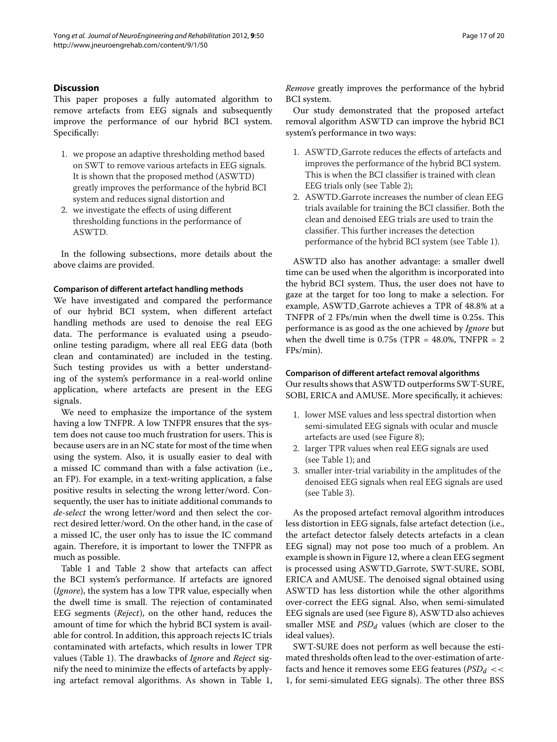This paper proposes a fully automated algorithm to remove artefacts from EEG signals and subsequently improve the performance of our hybrid BCI system. Specifically:

- 1. we propose an adaptive thresholding method based on SWT to remove various artefacts in EEG signals. It is shown that the proposed method (ASWTD) greatly improves the performance of the hybrid BCI system and reduces signal distortion and
- 2. we investigate the effects of using different thresholding functions in the performance of ASWTD.

In the following subsections, more details about the above claims are provided.

# **Comparison of different artefact handling methods**

We have investigated and compared the performance of our hybrid BCI system, when different artefact handling methods are used to denoise the real EEG data. The performance is evaluated using a pseudoonline testing paradigm, where all real EEG data (both clean and contaminated) are included in the testing. Such testing provides us with a better understanding of the system's performance in a real-world online application, where artefacts are present in the EEG signals.

We need to emphasize the importance of the system having a low TNFPR. A low TNFPR ensures that the system does not cause too much frustration for users. This is because users are in an NC state for most of the time when using the system. Also, it is usually easier to deal with a missed IC command than with a false activation (i.e., an FP). For example, in a text-writing application, a false positive results in selecting the wrong letter/word. Consequently, the user has to initiate additional commands to *de-select* the wrong letter/word and then select the correct desired letter/word. On the other hand, in the case of a missed IC, the user only has to issue the IC command again. Therefore, it is important to lower the TNFPR as much as possible.

Table [1](#page-14-0) and Table [2](#page-15-0) show that artefacts can affect the BCI system's performance. If artefacts are ignored (*Ignore*), the system has a low TPR value, especially when the dwell time is small. The rejection of contaminated EEG segments (*Reject*), on the other hand, reduces the amount of time for which the hybrid BCI system is available for control. In addition, this approach rejects IC trials contaminated with artefacts, which results in lower TPR values (Table [1\)](#page-14-0). The drawbacks of *Ignore* and *Reject* signify the need to minimize the effects of artefacts by applying artefact removal algorithms. As shown in Table [1,](#page-14-0)

*Remove* greatly improves the performance of the hybrid BCI system.

Our study demonstrated that the proposed artefact removal algorithm ASWTD can improve the hybrid BCI system's performance in two ways:

- 1. ASWTD Garrote reduces the effects of artefacts and improves the performance of the hybrid BCI system. This is when the BCI classifier is trained with clean EEG trials only (see Table [2\)](#page-15-0);
- 2. ASWTD Garrote increases the number of clean EEG trials available for training the BCI classifier. Both the clean and denoised EEG trials are used to train the classifier. This further increases the detection performance of the hybrid BCI system (see Table [1\)](#page-14-0).

ASWTD also has another advantage: a smaller dwell time can be used when the algorithm is incorporated into the hybrid BCI system. Thus, the user does not have to gaze at the target for too long to make a selection. For example, ASWTD Garrote achieves a TPR of 48.8% at a TNFPR of 2 FPs/min when the dwell time is 0.25s. This performance is as good as the one achieved by *Ignore* but when the dwell time is  $0.75s$  (TPR = 48.0%, TNFPR = 2 FPs/min).

# **Comparison of different artefact removal algorithms**

Our results shows that ASWTD outperforms SWT-SURE, SOBI, ERICA and AMUSE. More specifically, it achieves:

- 1. lower MSE values and less spectral distortion when semi-simulated EEG signals with ocular and muscle artefacts are used (see Figure [8\)](#page-12-0);
- 2. larger TPR values when real EEG signals are used (see Table [1\)](#page-14-0); and
- 3. smaller inter-trial variability in the amplitudes of the denoised EEG signals when real EEG signals are used (see Table [3\)](#page-15-0).

As the proposed artefact removal algorithm introduces less distortion in EEG signals, false artefact detection (i.e., the artefact detector falsely detects artefacts in a clean EEG signal) may not pose too much of a problem. An example is shown in Figure [12,](#page-17-0) where a clean EEG segment is processed using ASWTD Garrote, SWT-SURE, SOBI, ERICA and AMUSE. The denoised signal obtained using ASWTD has less distortion while the other algorithms over-correct the EEG signal. Also, when semi-simulated EEG signals are used (see Figure [8\)](#page-12-0), ASWTD also achieves smaller MSE and  $PSD<sub>d</sub>$  values (which are closer to the ideal values).

SWT-SURE does not perform as well because the estimated thresholds often lead to the over-estimation of artefacts and hence it removes some EEG features ( $PSD<sub>d</sub>$  << 1, for semi-simulated EEG signals). The other three BSS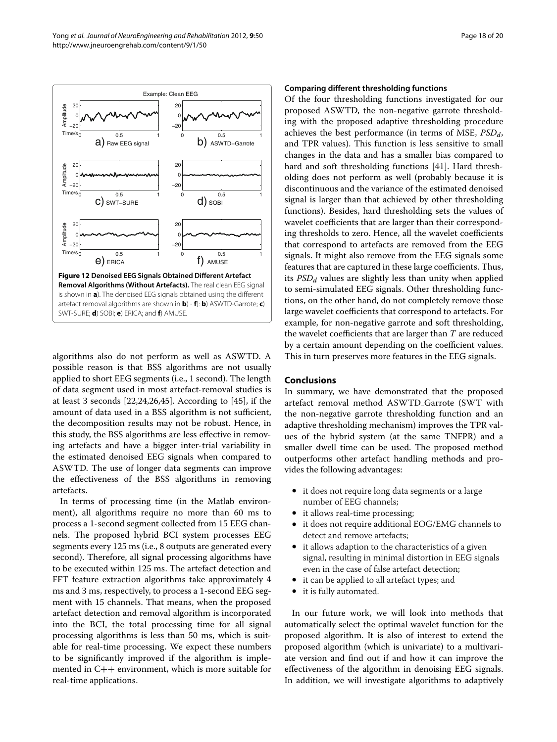<span id="page-17-0"></span>

algorithms also do not perform as well as ASWTD. A possible reason is that BSS algorithms are not usually applied to short EEG segments (i.e., 1 second). The length of data segment used in most artefact-removal studies is at least 3 seconds [\[22,24,26,](#page-18-0)[45\]](#page-19-0). According to [\[45\]](#page-19-0), if the amount of data used in a BSS algorithm is not sufficient, the decomposition results may not be robust. Hence, in this study, the BSS algorithms are less effective in removing artefacts and have a bigger inter-trial variability in the estimated denoised EEG signals when compared to ASWTD. The use of longer data segments can improve the effectiveness of the BSS algorithms in removing artefacts.

In terms of processing time (in the Matlab environment), all algorithms require no more than 60 ms to process a 1-second segment collected from 15 EEG channels. The proposed hybrid BCI system processes EEG segments every 125 ms (i.e., 8 outputs are generated every second). Therefore, all signal processing algorithms have to be executed within 125 ms. The artefact detection and FFT feature extraction algorithms take approximately 4 ms and 3 ms, respectively, to process a 1-second EEG segment with 15 channels. That means, when the proposed artefact detection and removal algorithm is incorporated into the BCI, the total processing time for all signal processing algorithms is less than 50 ms, which is suitable for real-time processing. We expect these numbers to be significantly improved if the algorithm is implemented in C++ environment, which is more suitable for real-time applications.

#### **Comparing different thresholding functions**

Of the four thresholding functions investigated for our proposed ASWTD, the non-negative garrote thresholding with the proposed adaptive thresholding procedure achieves the best performance (in terms of MSE, *PSDd*, and TPR values). This function is less sensitive to small changes in the data and has a smaller bias compared to hard and soft thresholding functions [\[41\]](#page-19-0). Hard thresholding does not perform as well (probably because it is discontinuous and the variance of the estimated denoised signal is larger than that achieved by other thresholding functions). Besides, hard thresholding sets the values of wavelet coefficients that are larger than their corresponding thresholds to zero. Hence, all the wavelet coefficients that correspond to artefacts are removed from the EEG signals. It might also remove from the EEG signals some features that are captured in these large coefficients. Thus, its  $PSD<sub>d</sub>$  values are slightly less than unity when applied to semi-simulated EEG signals. Other thresholding functions, on the other hand, do not completely remove those large wavelet coefficients that correspond to artefacts. For example, for non-negative garrote and soft thresholding, the wavelet coefficients that are larger than *T* are reduced by a certain amount depending on the coefficient values. This in turn preserves more features in the EEG signals.

#### **Conclusions**

In summary, we have demonstrated that the proposed artefact removal method ASWTD Garrote (SWT with the non-negative garrote thresholding function and an adaptive thresholding mechanism) improves the TPR values of the hybrid system (at the same TNFPR) and a smaller dwell time can be used. The proposed method outperforms other artefact handling methods and provides the following advantages:

- it does not require long data segments or a large number of EEG channels;
- it allows real-time processing;
- it does not require additional EOG/EMG channels to detect and remove artefacts;
- it allows adaption to the characteristics of a given signal, resulting in minimal distortion in EEG signals even in the case of false artefact detection;
- it can be applied to all artefact types; and
- it is fully automated.

In our future work, we will look into methods that automatically select the optimal wavelet function for the proposed algorithm. It is also of interest to extend the proposed algorithm (which is univariate) to a multivariate version and find out if and how it can improve the effectiveness of the algorithm in denoising EEG signals. In addition, we will investigate algorithms to adaptively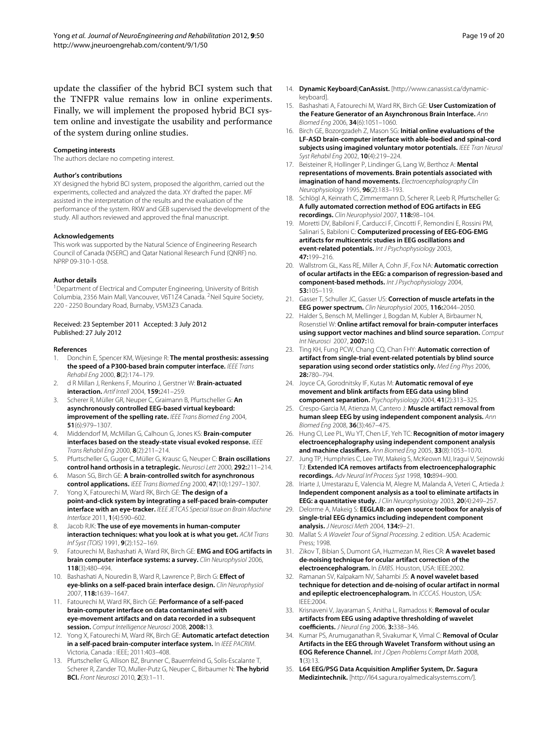<span id="page-18-0"></span>update the classifier of the hybrid BCI system such that the TNFPR value remains low in online experiments. Finally, we will implement the proposed hybrid BCI system online and investigate the usability and performance of the system during online studies.

#### **Competing interests**

The authors declare no competing interest.

#### **Author's contributions**

XY designed the hybrid BCI system, proposed the algorithm, carried out the experiments, collected and analyzed the data. XY drafted the paper. MF assisted in the interpretation of the results and the evaluation of the performance of the system. RKW and GEB supervised the development of the study. All authors reviewed and approved the final manuscript.

#### **Acknowledgements**

This work was supported by the Natural Science of Engineering Research Council of Canada (NSERC) and Qatar National Research Fund (QNRF) no. NPRP 09-310-1-058.

#### **Author details**

<sup>1</sup> Department of Electrical and Computer Engineering, University of British Columbia, 2356 Main Mall, Vancouver, V6T1Z4 Canada. <sup>2</sup>Neil Squire Society, 220 - 2250 Boundary Road, Burnaby, V5M3Z3 Canada.

#### Received: 23 September 2011 Accepted: 3 July 2012 Published: 27 July 2012

#### **References**

- 1. Donchin E, Spencer KM, Wijesinge R: **The mental prosthesis: assessing** the speed of a P300-based brain computer interface. IEEE Trans Rehabil Eng 2000, **8**(2):174–179.
- 2. d R Millan J, Renkens F, Mourino J, Gerstner W: **Brain-actuated interaction.** Artif Intell 2004, **159:**241–259.
- 3. Scherer R, Müller GR, Neuper C, Graimann B, Pfurtscheller G: An **asynchronously controlled EEG-based virtual keyboard: improvement of the spelling rate.** IEEE Trans Biomed Eng 2004, **51**(6):979–1307.
- 4. Middendorf M, McMillan G, Calhoun G, Jones KS: **Brain-computer interfaces based on the steady-state visual evoked response.** IEEE Trans Rehabil Eng 2000, **8**(2):211–214.
- 5. Pfurtscheller G, Guger C, Müller G, Krausc G, Neuper C: Brain oscillations **control hand orthosis in a tetraplegic.** Neurosci Lett 2000, **292:**211–214.
- 6. Mason SG, Birch GE: **A brain-controlled switch for asynchronous control applications.** IEEE Trans Biomed Eng 2000, **47**(10):1297–1307.
- 7. Yong X, Fatourechi M, Ward RK, Birch GE: **The design of a point-and-click system by integrating a self-paced brain-computer interface with an eye-tracker.** IEEE JETCAS Special Issue on Brain Machine Interface 2011, **1**(4):590–602.
- 8. Jacob RJK: **The use of eye movements in human-computer interaction techniques: what you look at is what you get.** ACM Trans Inf Syst (TOIS) 1991, **9**(2):152–169.
- 9. Fatourechi M, Bashashati A, Ward RK, Birch GE: **EMG and EOG artifacts in brain computer interface systems: a survey.** Clin Neurophysiol 2006, **118**(3):480–494.
- 10. Bashashati A, Nouredin B, Ward R, Lawrence P, Birch G: **Effect of eye-blinks on a self-paced brain interface design.** Clin Neurophysiol 2007, **118:**1639–1647.
- 11. Fatourechi M, Ward RK, Birch GE: **Performance of a self-paced brain-computer interface on data contaminated with eye-movement artifacts and on data recorded in a subsequent session.** Comput Intelligence Neurosci 2008, **2008:**13.
- 12. Yong X, Fatourechi M, Ward RK, Birch GE: **Automatic artefact detection in a self-paced brain-computer interface system.** In IEEE PACRIM. Victoria, Canada : IEEE; 2011:403–408.
- 13. Pfurtscheller G, Allison BZ, Brunner C, Bauernfeind G, Solis-Escalante T, Scherer R, Zander TO, Muller-Putz G, Neuper C, Birbaumer N: **The hybrid BCI.** Front Neurosci 2010, **2**(3):1–11.
- 14. **Dynamic Keyboard**|**CanAssist.** [\[http://www.canassist.ca/dynamic](http://www.canassist.ca/dynamic-keyboard)[keyboard\]](http://www.canassist.ca/dynamic-keyboard).
- 15. Bashashati A, Fatourechi M, Ward RK, Birch GE: **User Customization of the Feature Generator of an Asynchronous Brain Interface.** Ann Biomed Eng 2006, **34**(6):1051–1060.
- 16. Birch GE, Bozorgzadeh Z, Mason SG: **Initial online evaluations of the LF-ASD brain-computer interface with able-bodied and spinal-cord** subjects using imagined voluntary motor potentials. IEEE Tran Neural Syst Rehabil Eng 2002, **10**(4):219–224.
- 17. Beisteiner R, Hollinger P, Lindinger G, Lang W, Berthoz A: **Mental representations of movements. Brain potentials associated with imagination of hand movements.** Electroencephalography Clin Neurophysiology 1995, **96**(2):183–193.
- 18. Schlögl A, Keinrath C, Zimmermann D, Scherer R, Leeb R, Pfurtscheller G: **A fully automated correction method of EOG artifacts in EEG recordings.** Clin Neurophysiol 2007, **118:**98–104.
- 19. Moretti DV, Babiloni F, Carducci F, Cincotti F, Remondini E, Rossini PM, Salinari S, Babiloni C: **Computerized processing of EEG-EOG-EMG artifacts for multicentric studies in EEG oscillations and event-related potentials.** Int J Psychophysiology 2003, **47:**199–216.
- 20. Wallstrom GL, Kass RE, Miller A, Cohn JF, Fox NA: **Automatic correction of ocular artifacts in the EEG: a comparison of regression-based and component-based methods.** Int J Psychophysiology 2004, **53:**105–119.
- 21. Gasser T, Schuller JC, Gasser US: **Correction of muscle artefats in the EEG power spectrum.** Clin Neurophysiol 2005, **116:**2044–2050.
- 22. Halder S, Bensch M, Mellinger J, Bogdan M, Kubler A, Birbaumer N, Rosenstiel W: **Online artifact removal for brain-computer interfaces using support vector machines and blind source separation.** Comput Int Neurosci 2007, **2007:**10.
- 23. Ting KH, Fung PCW, Chang CQ, Chan FHY: **Automatic correction of artifact from single-trial event-related potentials by blind source separation using second order statistics only.** Med Eng Phys 2006, **28:**780–794.
- 24. Joyce CA, Gorodnitsky IF, Kutas M: **Automatic removal of eye movement and blink artifacts from EEG data using blind component separation.** Psychophysiology 2004, **41**(2):313–325.
- 25. Crespo-Garcia M, Atienza M, Cantero J: **Muscle artifact removal from human sleep EEG by using independent component analysis.** Ann Biomed Eng 2008, **36**(3):467–475.
- 26. Hung CI, Lee PL, Wu YT, Chen LF, Yeh TC: **Recognition of motor imagery electroencephalography using independent component analysis and machine classifiers.** Ann Biomed Eng 2005, **33**(8):1053–1070.
- 27. Jung TP, Humphries C, Lee TW, Makeig S, McKeown MJ, Iragui V, Sejnowski TJ: **Extended ICA removes artifacts from electroencephalographic recordings.** Adv Neural Inf Process Syst 1998, **10:**894–900.
- 28. Iriarte J, Urrestarazu E, Valencia M, Alegre M, Malanda A, Veteri C, Artieda J: **Independent component analysis as a tool to eliminate artifacts in EEG: a quantitative study.** J Clin Neurophysiology 2003, **20**(4):249–257.
- 29. Delorme A, Makeig S: **EEGLAB: an open source toolbox for analysis of single-trial EEG dynamics including independent component analysis.** J Neurosci Meth 2004, **134:**9–21.
- 30. Mallat S: A Wavelet Tour of Signal Processing. 2 edition. USA: Academic Press; 1998.
- 31. Zikov T, Bibian S, Dumont GA, Huzmezan M, Ries CR: **A wavelet based de-noising technique for ocular artifact correction of the electroencephalogram.** In EMBS. Houston, USA: IEEE:2002.
- 32. Ramanan SV, Kalpakam NV, Sahambi JS: **A novel wavelet based technique for detection and de-noising of ocular artifact in normal and epileptic electroencephalogram.** In ICCCAS. Houston, USA: IEEE:2004.
- 33. Krisnaveni V, Jayaraman S, Anitha L, Ramadoss K: **Removal of ocular artifacts from EEG using adaptive thresholding of wavelet coefficients.** J Neural Eng 2006, **3:**338–346.
- 34. Kumar PS, Arumuganathan R, Sivakumar K, Vimal C: **Removal of Ocular Artifacts in the EEG through Wavelet Transform without using an EOG Reference Channel.** Int J Open Problems Compt Math 2008, **1**(3):13.
- 35. **L64 EEG/PSG Data Acquisition Amplifier System, Dr. Sagura Medizintechnik.** [\[http://l64.sagura.royalmedicalsystems.com/\]](http://l64.sagura.royalmedicalsystems.com/).